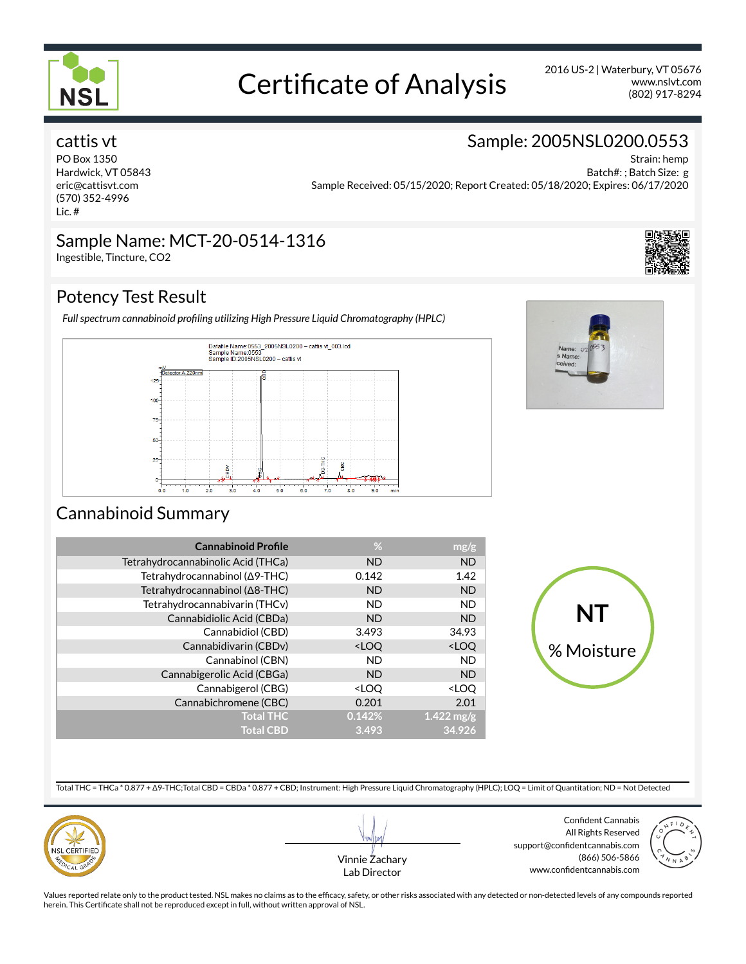

# Certificate of Analysis 2016 US-2 | Waterbury, VT 05676

(802) 917-8294 www.nslvt.com

Strain: hemp

Sample: 2005NSL0200.0553

# cattis vt

PO Box 1350 Hardwick, VT 05843 eric@cattisvt.com (570) 352-4996 Lic. #

Batch#: ; Batch Size: g Sample Received: 05/15/2020; Report Created: 05/18/2020; Expires: 06/17/2020

### Sample Name: MCT-20-0514-1316 Ingestible, Tincture, CO2

# Potency Test Result

Full spectrum cannabinoid profiling utilizing High Pressure Liquid Chromatography (HPLC)





# Cannabinoid Summary

| <b>Cannabinoid Profile</b>         | %                                               | mg/g                    |
|------------------------------------|-------------------------------------------------|-------------------------|
| Tetrahydrocannabinolic Acid (THCa) | <b>ND</b>                                       | <b>ND</b>               |
| Tetrahydrocannabinol (Δ9-THC)      | 0.142                                           | 1.42                    |
| Tetrahydrocannabinol (Δ8-THC)      | <b>ND</b>                                       | <b>ND</b>               |
| Tetrahydrocannabivarin (THCv)      | <b>ND</b>                                       | <b>ND</b>               |
| Cannabidiolic Acid (CBDa)          | <b>ND</b>                                       | <b>ND</b>               |
| Cannabidiol (CBD)                  | 3.493                                           | 34.93                   |
| Cannabidivarin (CBDv)              | <loo< td=""><td><loq< td=""></loq<></td></loo<> | <loq< td=""></loq<>     |
| Cannabinol (CBN)                   | <b>ND</b>                                       | <b>ND</b>               |
| Cannabigerolic Acid (CBGa)         | <b>ND</b>                                       | <b>ND</b>               |
| Cannabigerol (CBG)                 | <loo< td=""><td><loo< td=""></loo<></td></loo<> | <loo< td=""></loo<>     |
| Cannabichromene (CBC)              | 0.201                                           | 2.01                    |
| <b>Total THC</b>                   | 0.142%                                          | $1.422 \,\mathrm{mg/g}$ |
| <b>Total CBD</b>                   | 3.493                                           | 34.926                  |



Total THC = THCa \* 0.877 + Δ9-THC;Total CBD = CBDa \* 0.877 + CBD; Instrument: High Pressure Liquid Chromatography (HPLC); LOQ = Limit of Quantitation; ND = Not Detected





Confident Cannabis All Rights Reserved support@confidentcannabis.com (866) 506-5866 www.confidentcannabis.com



Values reported relate only to the product tested. NSL makes no claims as to the efficacy, safety, or other risks associated with any detected or non-detected levels of any compounds reported herein. This Certificate shall not be reproduced except in full, without written approval of NSL.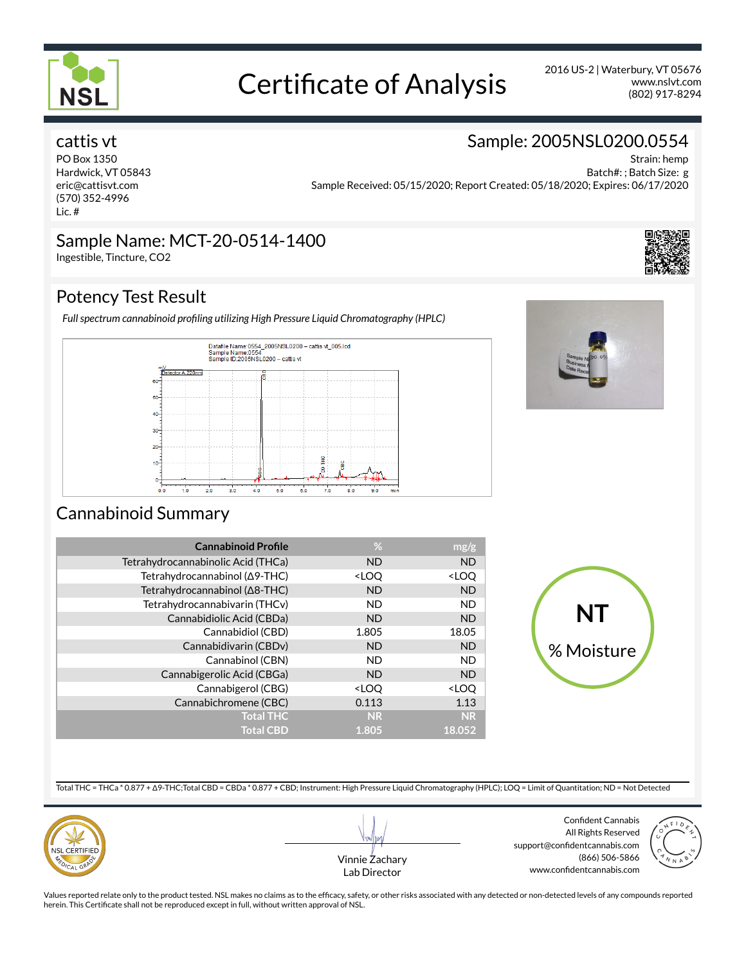

# Certificate of Analysis 2016 US-2 | Waterbury, VT 05676

(802) 917-8294 www.nslvt.com

Strain: hemp

Sample: 2005NSL0200.0554

# cattis vt

PO Box 1350 Hardwick, VT 05843 eric@cattisvt.com (570) 352-4996 Lic. #

Batch#: ; Batch Size: g Sample Received: 05/15/2020; Report Created: 05/18/2020; Expires: 06/17/2020

# Sample Name: MCT-20-0514-1400

Ingestible, Tincture, CO2

# Potency Test Result

Full spectrum cannabinoid profiling utilizing High Pressure Liquid Chromatography (HPLC)





# Cannabinoid Summary

| <b>Cannabinoid Profile</b>         | %                                               | mg/g                |
|------------------------------------|-------------------------------------------------|---------------------|
| Tetrahydrocannabinolic Acid (THCa) | <b>ND</b>                                       | <b>ND</b>           |
| Tetrahydrocannabinol (Δ9-THC)      | <loq< td=""><td><loq< td=""></loq<></td></loq<> | <loq< td=""></loq<> |
| Tetrahydrocannabinol (A8-THC)      | <b>ND</b>                                       | <b>ND</b>           |
| Tetrahydrocannabivarin (THCv)      | <b>ND</b>                                       | <b>ND</b>           |
| Cannabidiolic Acid (CBDa)          | <b>ND</b>                                       | <b>ND</b>           |
| Cannabidiol (CBD)                  | 1.805                                           | 18.05               |
| Cannabidivarin (CBDv)              | <b>ND</b>                                       | <b>ND</b>           |
| Cannabinol (CBN)                   | <b>ND</b>                                       | <b>ND</b>           |
| Cannabigerolic Acid (CBGa)         | <b>ND</b>                                       | <b>ND</b>           |
| Cannabigerol (CBG)                 | <loq< td=""><td><loq< td=""></loq<></td></loq<> | <loq< td=""></loq<> |
| Cannabichromene (CBC)              | 0.113                                           | 1.13                |
| <b>Total THC</b>                   | <b>NR</b>                                       | <b>NR</b>           |
| <b>Total CBD</b>                   | 1.805                                           | 18.052              |



Total THC = THCa \* 0.877 + Δ9-THC;Total CBD = CBDa \* 0.877 + CBD; Instrument: High Pressure Liquid Chromatography (HPLC); LOQ = Limit of Quantitation; ND = Not Detected





Confident Cannabis All Rights Reserved support@confidentcannabis.com (866) 506-5866 www.confidentcannabis.com



Values reported relate only to the product tested. NSL makes no claims as to the efficacy, safety, or other risks associated with any detected or non-detected levels of any compounds reported herein. This Certificate shall not be reproduced except in full, without written approval of NSL.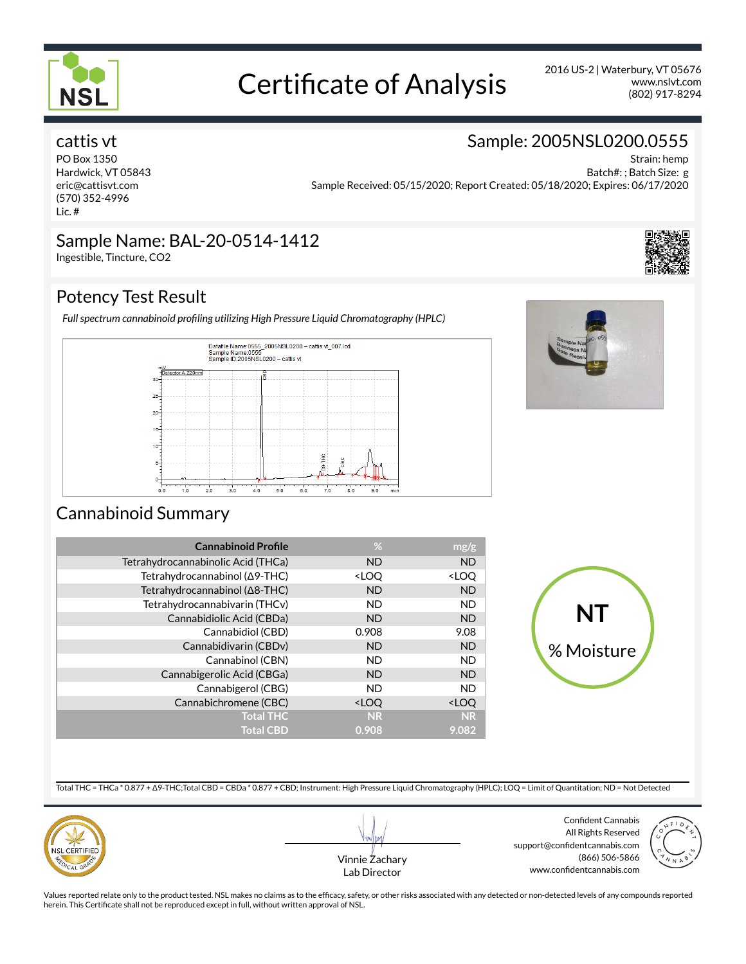

# Certificate of Analysis 2016 US-2 | Waterbury, VT 05676

(802) 917-8294 www.nslvt.com

Strain: hemp

Sample: 2005NSL0200.0555

# cattis vt

PO Box 1350 Hardwick, VT 05843 eric@cattisvt.com (570) 352-4996 Lic. #

Batch#: ; Batch Size: g Sample Received: 05/15/2020; Report Created: 05/18/2020; Expires: 06/17/2020

### Sample Name: BAL-20-0514-1412 Ingestible, Tincture, CO2

Potency Test Result

Full spectrum cannabinoid profiling utilizing High Pressure Liquid Chromatography (HPLC)





# Cannabinoid Summary

| <b>Cannabinoid Profile</b>         | %                                               | mg/g                |
|------------------------------------|-------------------------------------------------|---------------------|
| Tetrahydrocannabinolic Acid (THCa) | <b>ND</b>                                       | <b>ND</b>           |
| Tetrahydrocannabinol (Δ9-THC)      | <loq< td=""><td><loq< td=""></loq<></td></loq<> | <loq< td=""></loq<> |
| Tetrahydrocannabinol (Δ8-THC)      | <b>ND</b>                                       | <b>ND</b>           |
| Tetrahydrocannabivarin (THCv)      | <b>ND</b>                                       | <b>ND</b>           |
| Cannabidiolic Acid (CBDa)          | <b>ND</b>                                       | <b>ND</b>           |
| Cannabidiol (CBD)                  | 0.908                                           | 9.08                |
| Cannabidivarin (CBDv)              | <b>ND</b>                                       | <b>ND</b>           |
| Cannabinol (CBN)                   | <b>ND</b>                                       | <b>ND</b>           |
| Cannabigerolic Acid (CBGa)         | <b>ND</b>                                       | <b>ND</b>           |
| Cannabigerol (CBG)                 | <b>ND</b>                                       | <b>ND</b>           |
| Cannabichromene (CBC)              | <loq< td=""><td><loq< td=""></loq<></td></loq<> | <loq< td=""></loq<> |
| <b>Total THC</b>                   | <b>NR</b>                                       | <b>NR</b>           |
| <b>Total CBD</b>                   | 0.908                                           | 9.082               |



Total THC = THCa \* 0.877 + Δ9-THC;Total CBD = CBDa \* 0.877 + CBD; Instrument: High Pressure Liquid Chromatography (HPLC); LOQ = Limit of Quantitation; ND = Not Detected





Confident Cannabis All Rights Reserved support@confidentcannabis.com (866) 506-5866 www.confidentcannabis.com



Values reported relate only to the product tested. NSL makes no claims as to the efficacy, safety, or other risks associated with any detected or non-detected levels of any compounds reported herein. This Certificate shall not be reproduced except in full, without written approval of NSL.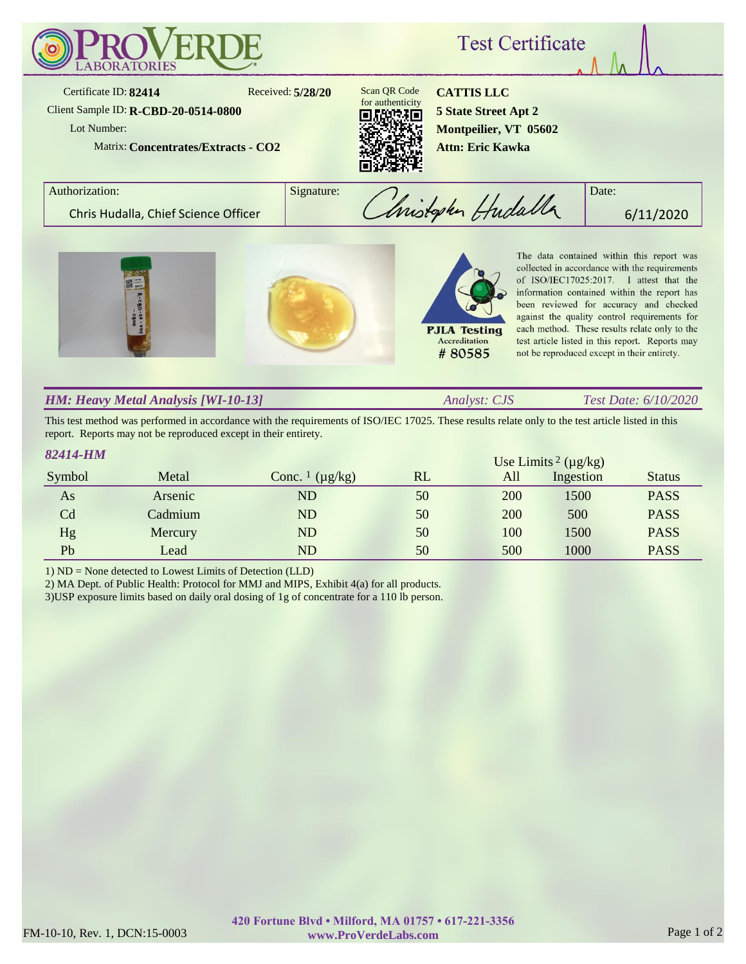

### *HM: Heavy Metal Analysis [WI-10-13]*

*Analyst: CJS Test Date: 6/10/2020*

This test method was performed in accordance with the requirements of ISO/IEC 17025. These results relate only to the test article listed in this report. Reports may not be reproduced except in their entirety.

| 82414-HM<br>Use Limits <sup>2</sup> ( $\mu$ g/kg) |         |                                     |    |     |           |               |
|---------------------------------------------------|---------|-------------------------------------|----|-----|-----------|---------------|
| Symbol                                            | Metal   | Conc. $\frac{1}{\mu}$ ( $\mu$ g/kg) | RL | All | Ingestion | <b>Status</b> |
| As                                                | Arsenic | ND                                  | 50 | 200 | 1500      | <b>PASS</b>   |
| C <sub>d</sub>                                    | Cadmium | ND                                  | 50 | 200 | 500       | <b>PASS</b>   |
| Hg                                                | Mercury | ND                                  | 50 | 100 | 1500      | <b>PASS</b>   |
| Pb                                                | Lead    | ND                                  | 50 | 500 | 1000      | <b>PASS</b>   |

1) ND = None detected to Lowest Limits of Detection (LLD)

2) MA Dept. of Public Health: Protocol for MMJ and MIPS, Exhibit 4(a) for all products.

3)USP exposure limits based on daily oral dosing of 1g of concentrate for a 110 lb person.